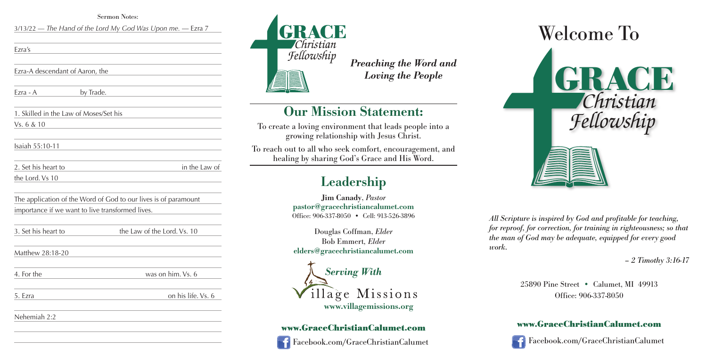



*All Scripture is inspired by God and profitable for teaching, for reproof, for correction, for training in righteousness; so that the man of God may be adequate, equipped for every good*

# *work.*



*– 2 Timothy 3:16-17*

25890 Pine Street • Calumet, MI 49913 Office: 906-337-8050

#### **www.GraceChristianCalumet.com**

Facebook.com/GraceChristianCalumet

*Preaching the Word and Loving the People*

## **Our Mission Statement:**

To create a loving environment that leads people into a growing relationship with Jesus Christ.

To reach out to all who seek comfort, encouragement, and healing by sharing God's Grace and His Word.

## **Leadership**

**Jim Canady**, *Pastor* **pastor@gracechristiancalumet.com** Office: 906-337-8050 • Cell: 913-526-3896

Douglas Coffman, *Elder* Bob Emmert*, Elder* **elders@gracechristiancalumet.com**



### **www.GraceChristianCalumet.com**



Facebook.com/GraceChristianCalumet

Sermon Notes:

3/13/22 — *The Hand of the Lord My God Was Upon me.* — Ezra 7

Ezra's

Ezra-A descendant of Aaron, the

Ezra - A by Trade.

1. Skilled in the Law of Moses/Set his

Vs. 6 & 10

Isaiah 55:10-11

| 2. Set his heart to | in the Law of |
|---------------------|---------------|
| the Lord. Vs 10     |               |

The application of the Word of God to our lives is of paramount importance if we want to live transformed lives.

3. Set his heart to the Law of the Lord. Vs. 10

Matthew 28:18-20

4. For the was on him. Vs. 6

5. Ezra on his life. Vs. 6

Nehemiah 2:2